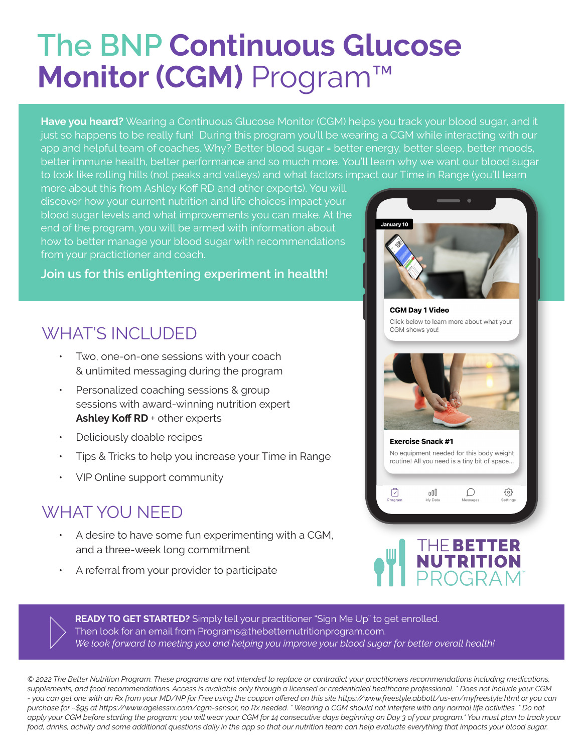## **The BNP Continuous Glucose Monitor (CGM)** Program™

Have you heard? Wearing a Continuous Glucose Monitor (CGM) helps you track your blood sugar, and it just so happens to be really fun! During this program you'll be wearing a CGM while interacting with our app and helpful team of coaches. Why? Better blood sugar = better energy, better sleep, better moods, better immune health, better performance and so much more. You'll learn why we want our blood sugar to look like rolling hills (not peaks and valleys) and what factors impact our Time in Range (you'll learn

more about this from Ashley Koff RD and other experts). You will discover how your current nutrition and life choices impact your blood sugar levels and what improvements you can make. At the end of the program, you will be armed with information about how to better manage your blood sugar with recommendations from your practictioner and coach.

## **Join us for this enlightening experiment in health!**

## WHAT'S INCLUDED

- ƽ Two, one-on-one sessions with your coach & unlimited messaging during the program
- Personalized coaching sessions & group sessions with award-winning nutrition expert Ashley Koff RD + other experts
- Deliciously doable recipes
- ƽ Tips & Tricks to help you increase your Time in Range
- VIP Online support community

## WHAT YOU NFFD

- A desire to have some fun experimenting with a CGM, and a three-week long commitment
- ƽ A referral from your provider to participate





**READY TO GET STARTED?** Simply tell your practitioner "Sign Me Up" to get enrolled. Then look for an email from Programs@thebetternutritionprogram.com. We look forward to meeting you and helping you improve your blood sugar for better overall health!

 $@$  2022 The Better Nutrition Program. These programs are not intended to replace or contradict your practitioners recommendations including medications, zupplements, and food recommendations. Access is available only through a licensed or credentialed healthcare professional. \* Does not include your CGM - you can get one with an Rx from your MD/NP for Free using the coupon offered on this site https://www.freestyle.abbott/us-en/myfreestyle.html or you can purchase for ~\$95 at https://www.agelessrx.com/cgm-sensor, no Rx needed. \*Wearing a CGM should not interfere with any normal life activities. \* Do not apply your CGM before starting the program; you will wear your CGM for 14 consecutive days beginning on Day 3 of your program.\* You must plan to track your food, drinks, activity and some additional questions daily in the app so that our nutrition team can help evaluate everything that impacts your blood sugar.